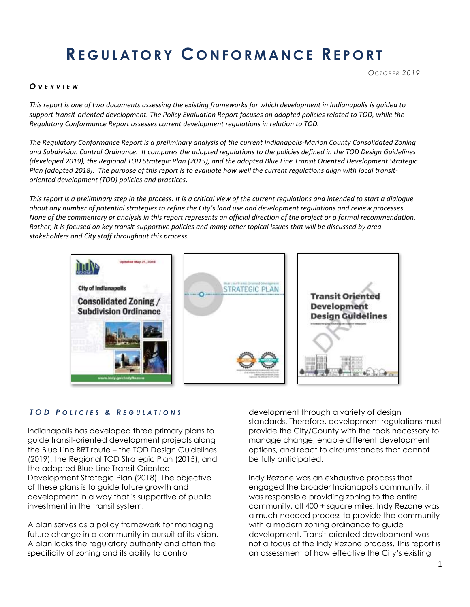# **RE G U L A T O R Y C O N F O R M A N C E RE P O R T**

#### *O V E R V I E W*

*This report is one of two documents assessing the existing frameworks for which development in Indianapolis is guided to support transit-oriented development. The Policy Evaluation Report focuses on adopted policies related to TOD, while the Regulatory Conformance Report assesses current development regulations in relation to TOD.* 

*The Regulatory Conformance Report is a preliminary analysis of the current Indianapolis-Marion County Consolidated Zoning and Subdivision Control Ordinance. It compares the adopted regulations to the policies defined in the TOD Design Guidelines (developed 2019), the Regional TOD Strategic Plan (2015), and the adopted Blue Line Transit Oriented Development Strategic Plan (adopted 2018). The purpose of this report is to evaluate how well the current regulations align with local transitoriented development (TOD) policies and practices.*

*This report is a preliminary step in the process. It is a critical view of the current regulations and intended to start a dialogue about any number of potential strategies to refine the City's land use and development regulations and review processes. None of the commentary or analysis in this report represents an official direction of the project or a formal recommendation. Rather, it is focused on key transit-supportive policies and many other topical issues that will be discussed by area stakeholders and City staff throughout this process.*



#### *T O D P O L I C I E S & R E G U L A T I O N S*

Indianapolis has developed three primary plans to guide transit-oriented development projects along the Blue Line BRT route – the TOD Design Guidelines (2019), the Regional TOD Strategic Plan (2015), and the adopted Blue Line Transit Oriented Development Strategic Plan (2018). The objective of these plans is to guide future growth and development in a way that is supportive of public investment in the transit system.

A plan serves as a policy framework for managing future change in a community in pursuit of its vision. A plan lacks the regulatory authority and often the specificity of zoning and its ability to control

development through a variety of design standards. Therefore, development regulations must provide the City/County with the tools necessary to manage change, enable different development options, and react to circumstances that cannot be fully anticipated.

Indy Rezone was an exhaustive process that engaged the broader Indianapolis community, it was responsible providing zoning to the entire community, all 400 + square miles. Indy Rezone was a much-needed process to provide the community with a modern zoning ordinance to guide development. Transit-oriented development was not a focus of the Indy Rezone process. This report is an assessment of how effective the City's existing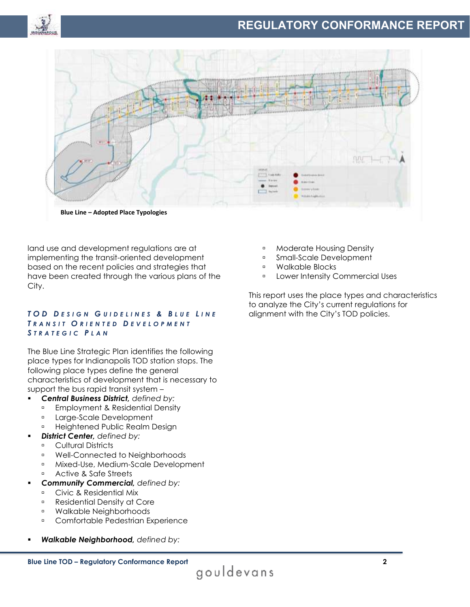



land use and development regulations are at implementing the transit-oriented development based on the recent policies and strategies that have been created through the various plans of the City.

#### *T O D D E S I G N G U I D E L I N E S & B L U E L I N E T R A N S I T O R I E N T E D D E V E L O P M E N T STRATEGIC PLAN*

The Blue Line Strategic Plan identifies the following place types for Indianapolis TOD station stops. The following place types define the general characteristics of development that is necessary to support the bus rapid transit system –

- *Central Business District, defined by:*
	- **Employment & Residential Density**
	- **Large-Scale Development**
	- **BEE Heightened Public Realm Design**
- **District Center, defined by:** 
	- **E** Cultural Districts
	- Well-Connected to Neighborhoods
	- **Mixed-Use, Medium-Scale Development**
	- Active & Safe Streets
- *Community Commercial, defined by:*
	- **Civic & Residential Mix**
	- **Residential Density at Core**
	- Walkable Neighborhoods
	- **Comfortable Pedestrian Experience**
- *Walkable Neighborhood, defined by:*
- **Moderate Housing Density**
- **Small-Scale Development**
- Walkable Blocks
- **Example 2** Lower Intensity Commercial Uses

This report uses the place types and characteristics to analyze the City's current regulations for alignment with the City's TOD policies.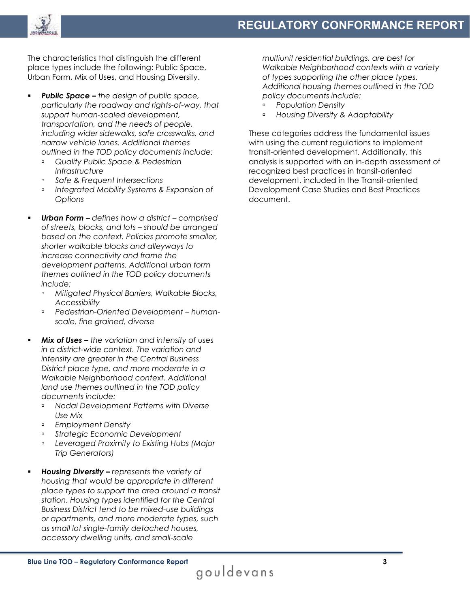

The characteristics that distinguish the different place types include the following: Public Space, Urban Form, Mix of Uses, and Housing Diversity.

- *Public Space – the design of public space, particularly the roadway and rights-of-way, that support human-scaled development, transportation, and the needs of people, including wider sidewalks, safe crosswalks, and narrow vehicle lanes. Additional themes outlined in the TOD policy documents include:* 
	- *Quality Public Space & Pedestrian Infrastructure*
	- *Safe & Frequent Intersections*
	- *Integrated Mobility Systems & Expansion of Options*
- *Urban Form – defines how a district – comprised of streets, blocks, and lots – should be arranged based on the context. Policies promote smaller, shorter walkable blocks and alleyways to increase connectivity and frame the development patterns. Additional urban form themes outlined in the TOD policy documents include:*
	- *Mitigated Physical Barriers, Walkable Blocks, Accessibility*
	- *Pedestrian-Oriented Development – humanscale, fine grained, diverse*
- *Mix of Uses – the variation and intensity of uses in a district-wide context. The variation and intensity are greater in the Central Business District place type, and more moderate in a Walkable Neighborhood context. Additional land use themes outlined in the TOD policy documents include:*
	- *Nodal Development Patterns with Diverse Use Mix*
	- *Employment Density*
	- *Strategic Economic Development*
	- *Leveraged Proximity to Existing Hubs (Major Trip Generators)*
- *Housing Diversity – represents the variety of housing that would be appropriate in different place types to support the area around a transit station. Housing types identified for the Central Business District tend to be mixed-use buildings or apartments, and more moderate types, such as small lot single-family detached houses, accessory dwelling units, and small-scale*

*multiunit residential buildings, are best for Walkable Neighborhood contexts with a variety of types supporting the other place types. Additional housing themes outlined in the TOD policy documents include:*

- *Population Density*
- *Housing Diversity & Adaptability*

These categories address the fundamental issues with using the current regulations to implement transit-oriented development. Additionally, this analysis is supported with an in-depth assessment of recognized best practices in transit-oriented development, included in the Transit-oriented Development Case Studies and Best Practices document.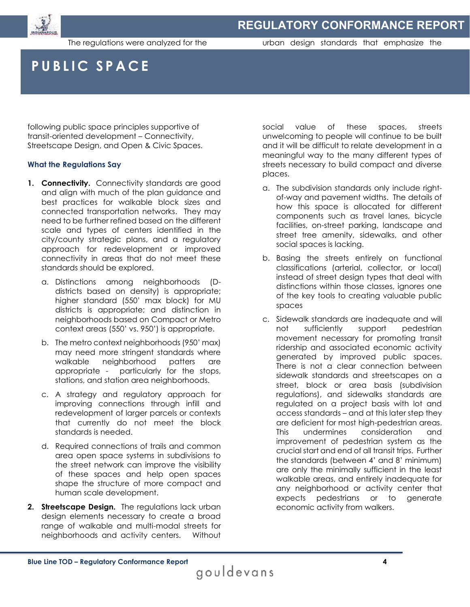

The regulations were analyzed for the

urban design standards that emphasize the

## **PUBLIC SPACE**

following public space principles supportive of transit-oriented development – Connectivity, Streetscape Design, and Open & Civic Spaces.

#### **What the Regulations Say**

- **1. Connectivity.** Connectivity standards are good and align with much of the plan guidance and best practices for walkable block sizes and connected transportation networks. They may need to be further refined based on the different scale and types of centers identified in the city/county strategic plans, and a regulatory approach for redevelopment or improved connectivity in areas that do not meet these standards should be explored.
	- a. Distinctions among neighborhoods (Ddistricts based on density) is appropriate; higher standard (550' max block) for MU districts is appropriate; and distinction in neighborhoods based on Compact or Metro context areas (550' vs. 950') is appropriate.
	- b. The metro context neighborhoods (950' max) may need more stringent standards where walkable neighborhood patters are appropriate - particularly for the stops, stations, and station area neighborhoods.
	- c. A strategy and regulatory approach for improving connections through infill and redevelopment of larger parcels or contexts that currently do not meet the block standards is needed.
	- d. Required connections of trails and common area open space systems in subdivisions to the street network can improve the visibility of these spaces and help open spaces shape the structure of more compact and human scale development.
- **2. Streetscape Design.** The regulations lack urban design elements necessary to create a broad range of walkable and multi-modal streets for neighborhoods and activity centers. Without

social value of these spaces, streets unwelcoming to people will continue to be built and it will be difficult to relate development in a meaningful way to the many different types of streets necessary to build compact and diverse places.

- a. The subdivision standards only include rightof-way and pavement widths. The details of how this space is allocated for different components such as travel lanes, bicycle facilities, on-street parking, landscape and street tree amenity, sidewalks, and other social spaces is lacking.
- b. Basing the streets entirely on functional classifications (arterial, collector, or local) instead of street design types that deal with distinctions within those classes, ignores one of the key tools to creating valuable public spaces
- c. Sidewalk standards are inadequate and will not sufficiently support pedestrian movement necessary for promoting transit ridership and associated economic activity generated by improved public spaces. There is not a clear connection between sidewalk standards and streetscapes on a street, block or area basis (subdivision regulations), and sidewalks standards are regulated on a project basis with lot and access standards – and at this later step they are deficient for most high-pedestrian areas. This undermines consideration and improvement of pedestrian system as the crucial start and end of all transit trips. Further the standards (between 4' and 8' minimum) are only the minimally sufficient in the least walkable areas, and entirely inadequate for any neighborhood or activity center that expects pedestrians or to generate economic activity from walkers.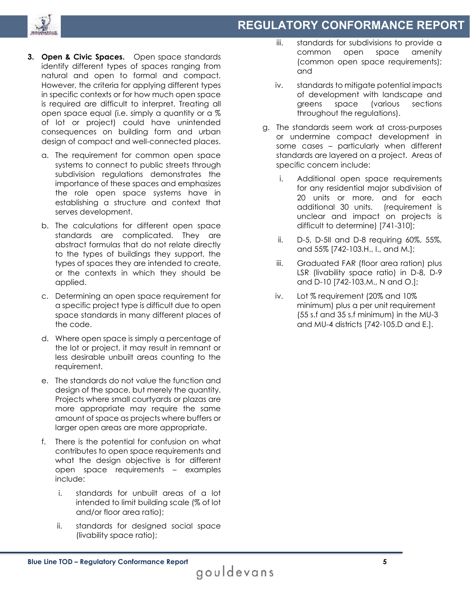



- **3. Open & Civic Spaces.** Open space standards identify different types of spaces ranging from natural and open to formal and compact. However, the criteria for applying different types in specific contexts or for how much open space is required are difficult to interpret. Treating all open space equal (i.e. simply a quantity or a % of lot or project) could have unintended consequences on building form and urban design of compact and well-connected places.
	- a. The requirement for common open space systems to connect to public streets through subdivision regulations demonstrates the importance of these spaces and emphasizes the role open space systems have in establishing a structure and context that serves development.
	- b. The calculations for different open space standards are complicated. They are abstract formulas that do not relate directly to the types of buildings they support, the types of spaces they are intended to create, or the contexts in which they should be applied.
	- c. Determining an open space requirement for a specific project type is difficult due to open space standards in many different places of the code.
	- d. Where open space is simply a percentage of the lot or project, it may result in remnant or less desirable unbuilt areas counting to the requirement.
	- e. The standards do not value the function and design of the space, but merely the quantity. Projects where small courtyards or plazas are more appropriate may require the same amount of space as projects where buffers or larger open areas are more appropriate.
	- f. There is the potential for confusion on what contributes to open space requirements and what the design objective is for different open space requirements – examples include:
		- i. standards for unbuilt areas of a lot intended to limit building scale (% of lot and/or floor area ratio);
		- ii. standards for designed social space (livability space ratio);
- iii. standards for subdivisions to provide a common open space amenity (common open space requirements); and
- iv. standards to mitigate potential impacts of development with landscape and greens space (various sections throughout the regulations).
- g. The standards seem work at cross-purposes or undermine compact development in some cases – particularly when different standards are layered on a project. Areas of specific concern include:
	- i. Additional open space requirements for any residential major subdivision of 20 units or more, and for each additional 30 units. (requirement is unclear and impact on projects is difficult to determine) [741-310];
	- ii. D-5, D-5II and D-8 requiring 60%, 55%, and 55% [742-103.H., I., and M.];
	- iii. Graduated FAR (floor area ration) plus LSR (livability space ratio) in D-8, D-9 and D-10 [742-103.M., N and O.];
	- iv. Lot % requirement (20% and 10% minimum) plus a per unit requirement (55 s.f and 35 s.f minimum) in the MU-3 and MU-4 districts [742-105.D and E.].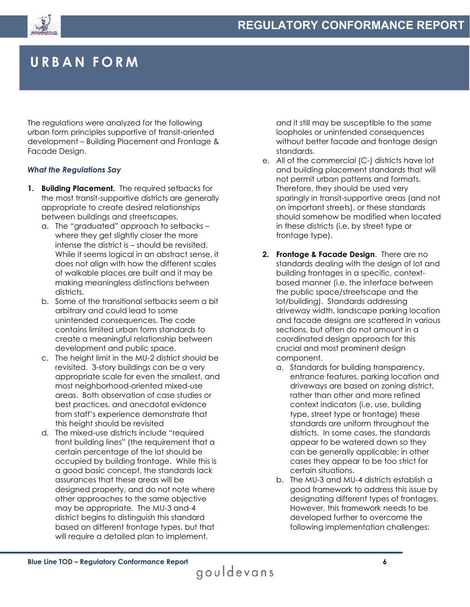



## **URBAN FORM**

The regulations were analyzed for the following urban form principles supportive of transit-oriented development – Building Placement and Frontage & Facade Design.

#### *What the Regulations Say*

- **1. Building Placement.** The required setbacks for the most transit-supportive districts are generally appropriate to create desired relationships between buildings and streetscapes.
	- a. The "graduated" approach to setbacks where they get slightly closer the more intense the district is – should be revisited. While it seems logical in an abstract sense, it does not align with how the different scales of walkable places are built and it may be making meaningless distinctions between districts.
	- b. Some of the transitional setbacks seem a bit arbitrary and could lead to some unintended consequences. The code contains limited urban form standards to create a meaningful relationship between development and public space.
	- c. The height limit in the MU-2 district should be revisited. 3-story buildings can be a very appropriate scale for even the smallest, and most neighborhood-oriented mixed-use areas. Both observation of case studies or best practices, and anecdotal evidence from staff's experience demonstrate that this height should be revisited
	- d. The mixed-use districts include "required front building lines" (the requirement that a certain percentage of the lot should be occupied by building frontage. While this is a good basic concept, the standards lack assurances that these areas will be designed property, and do not note where other approaches to the same objective may be appropriate. The MU-3 and-4 district begins to distinguish this standard based on different frontage types, but that will require a detailed plan to implement,

and it still may be susceptible to the same loopholes or unintended consequences without better facade and frontage design standards.

- e. All of the commercial (C-) districts have lot and building placement standards that will not permit urban patterns and formats. Therefore, they should be used very sparingly in transit-supportive areas (and not on important streets), or these standards should somehow be modified when located in these districts (i.e. by street type or frontage type).
- **2. Frontage & Facade Design**. There are no standards dealing with the design of lot and building frontages in a specific, contextbased manner (i.e. the interface between the public space/streetscape and the lot/building). Standards addressing driveway width, landscape parking location and facade designs are scattered in various sections, but often do not amount in a coordinated design approach for this crucial and most prominent design component.
	- a. Standards for building transparency, entrance features, parking location and driveways are based on zoning district, rather than other and more refined context indicators (i.e. use, building type, street type or frontage) these standards are uniform throughout the districts. In some cases, the standards appear to be watered down so they can be generally applicable; in other cases they appear to be too strict for certain situations.
	- b. The MU-3 and MU-4 districts establish a good framework to address this issue by designating different types of frontages. However, this framework needs to be developed further to overcome the following implementation challenges: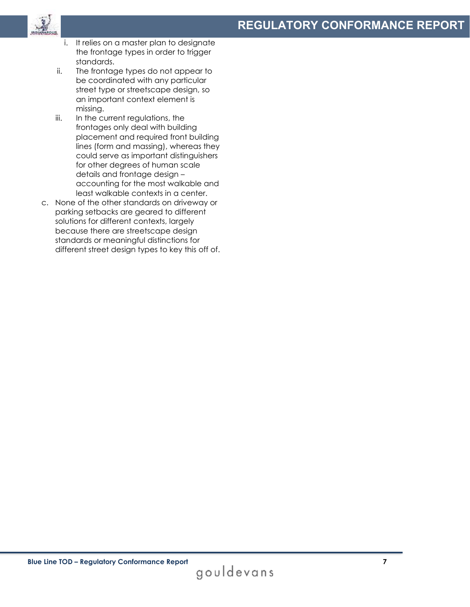

- i. It relies on a master plan to designate the frontage types in order to trigger standards.
- ii. The frontage types do not appear to be coordinated with any particular street type or streetscape design, so an important context element is missing.
- iii. In the current regulations, the frontages only deal with building placement and required front building lines (form and massing), whereas they could serve as important distinguishers for other degrees of human scale details and frontage design – accounting for the most walkable and least walkable contexts in a center.
- c. None of the other standards on driveway or parking setbacks are geared to different solutions for different contexts, largely because there are streetscape design standards or meaningful distinctions for different street design types to key this off of.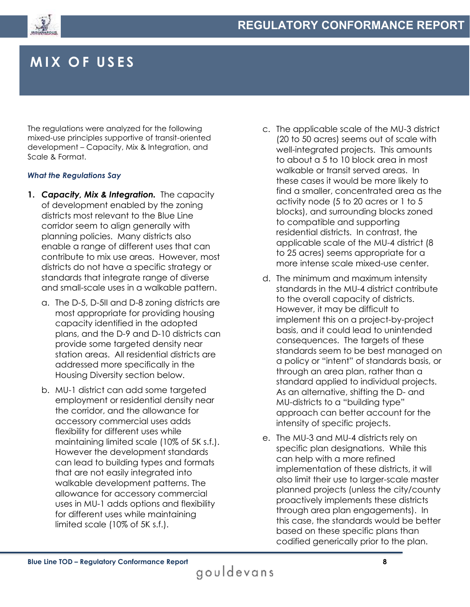

## **MIX O F USES**

The regulations were analyzed for the following mixed-use principles supportive of transit-oriented development – Capacity, Mix & Integration, and Scale & Format.

### *What the Regulations Say*

- **1.** *Capacity, Mix & Integration.* The capacity of development enabled by the zoning districts most relevant to the Blue Line corridor seem to align generally with planning policies. Many districts also enable a range of different uses that can contribute to mix use areas. However, most districts do not have a specific strategy or standards that integrate range of diverse and small-scale uses in a walkable pattern.
	- a. The D-5, D-5II and D-8 zoning districts are most appropriate for providing housing capacity identified in the adopted plans, and the D-9 and D-10 districts can provide some targeted density near station areas. All residential districts are addressed more specifically in the Housing Diversity section below.
	- b. MU-1 district can add some targeted employment or residential density near the corridor, and the allowance for accessory commercial uses adds flexibility for different uses while maintaining limited scale (10% of 5K s.f.). However the development standards can lead to building types and formats that are not easily integrated into walkable development patterns. The allowance for accessory commercial uses in MU-1 adds options and flexibility for different uses while maintaining limited scale (10% of 5K s.f.).
- c. The applicable scale of the MU-3 district (20 to 50 acres) seems out of scale with well-integrated projects. This amounts to about a 5 to 10 block area in most walkable or transit served areas. In these cases it would be more likely to find a smaller, concentrated area as the activity node (5 to 20 acres or 1 to 5 blocks), and surrounding blocks zoned to compatible and supporting residential districts. In contrast, the applicable scale of the MU-4 district (8 to 25 acres) seems appropriate for a more intense scale mixed-use center.
- d. The minimum and maximum intensity standards in the MU-4 district contribute to the overall capacity of districts. However, it may be difficult to implement this on a project-by-project basis, and it could lead to unintended consequences. The targets of these standards seem to be best managed on a policy or "intent" of standards basis, or through an area plan, rather than a standard applied to individual projects. As an alternative, shifting the D- and MU-districts to a "building type" approach can better account for the intensity of specific projects.
- e. The MU-3 and MU-4 districts rely on specific plan designations. While this can help with a more refined implementation of these districts, it will also limit their use to larger-scale master planned projects (unless the city/county proactively implements these districts through area plan engagements). In this case, the standards would be better based on these specific plans than codified generically prior to the plan.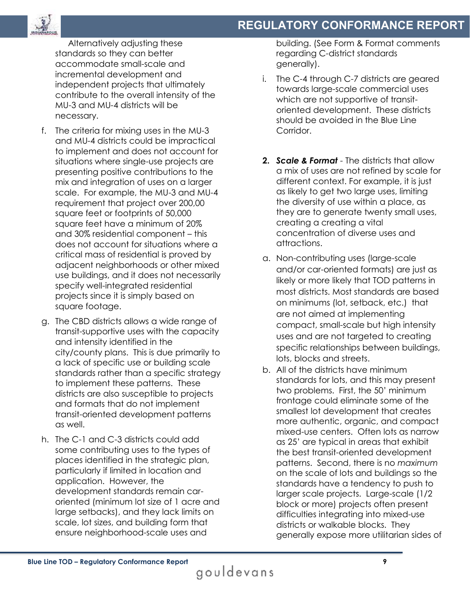

Alternatively adjusting these standards so they can better accommodate small-scale and incremental development and independent projects that ultimately contribute to the overall intensity of the MU-3 and MU-4 districts will be necessary.

- f. The criteria for mixing uses in the MU-3 and MU-4 districts could be impractical to implement and does not account for situations where single-use projects are presenting positive contributions to the mix and integration of uses on a larger scale. For example, the MU-3 and MU-4 requirement that project over 200,00 square feet or footprints of 50,000 square feet have a minimum of 20% and 30% residential component – this does not account for situations where a critical mass of residential is proved by adjacent neighborhoods or other mixed use buildings, and it does not necessarily specify well-integrated residential projects since it is simply based on square footage.
- g. The CBD districts allows a wide range of transit-supportive uses with the capacity and intensity identified in the city/county plans. This is due primarily to a lack of specific use or building scale standards rather than a specific strategy to implement these patterns. These districts are also susceptible to projects and formats that do not implement transit-oriented development patterns as well.
- h. The C-1 and C-3 districts could add some contributing uses to the types of places identified in the strategic plan, particularly if limited in location and application. However, the development standards remain caroriented (minimum lot size of 1 acre and large setbacks), and they lack limits on scale, lot sizes, and building form that ensure neighborhood-scale uses and

building. (See Form & Format comments regarding C-district standards generally).

- i. The C-4 through C-7 districts are geared towards large-scale commercial uses which are not supportive of transitoriented development. These districts should be avoided in the Blue Line Corridor.
- **2.** *Scale & Format* The districts that allow a mix of uses are not refined by scale for different context. For example, it is just as likely to get two large uses, limiting the diversity of use within a place, as they are to generate twenty small uses, creating a creating a vital concentration of diverse uses and attractions.
- a. Non-contributing uses (large-scale and/or car-oriented formats) are just as likely or more likely that TOD patterns in most districts. Most standards are based on minimums (lot, setback, etc.) that are not aimed at implementing compact, small-scale but high intensity uses and are not targeted to creating specific relationships between buildings, lots, blocks and streets.
- b. All of the districts have minimum standards for lots, and this may present two problems. First, the 50' minimum frontage could eliminate some of the smallest lot development that creates more authentic, organic, and compact mixed-use centers. Often lots as narrow as 25' are typical in areas that exhibit the best transit-oriented development patterns. Second, there is no *maximum* on the scale of lots and buildings so the standards have a tendency to push to larger scale projects. Large-scale (1/2 block or more) projects often present difficulties integrating into mixed-use districts or walkable blocks. They generally expose more utilitarian sides of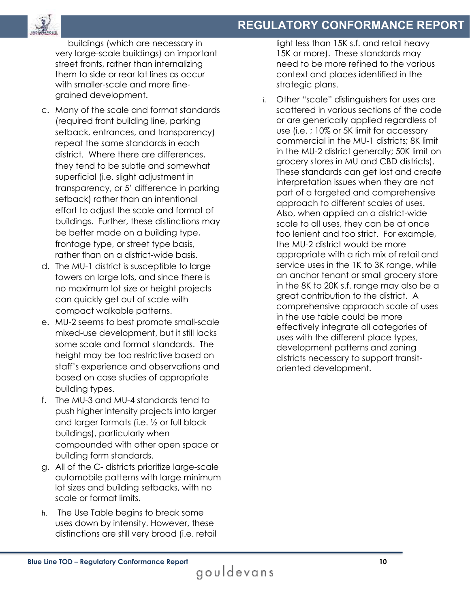

buildings (which are necessary in very large-scale buildings) on important street fronts, rather than internalizing them to side or rear lot lines as occur with smaller-scale and more finegrained development.

- c. Many of the scale and format standards (required front building line, parking setback, entrances, and transparency) repeat the same standards in each district. Where there are differences, they tend to be subtle and somewhat superficial (i.e. slight adjustment in transparency, or 5' difference in parking setback) rather than an intentional effort to adjust the scale and format of buildings. Further, these distinctions may be better made on a building type, frontage type, or street type basis, rather than on a district-wide basis.
- d. The MU-1 district is susceptible to large towers on large lots, and since there is no maximum lot size or height projects can quickly get out of scale with compact walkable patterns.
- e. MU-2 seems to best promote small-scale mixed-use development, but it still lacks some scale and format standards. The height may be too restrictive based on staff's experience and observations and based on case studies of appropriate building types.
- f. The MU-3 and MU-4 standards tend to push higher intensity projects into larger and larger formats (i.e. ½ or full block buildings), particularly when compounded with other open space or building form standards.
- g. All of the C- districts prioritize large-scale automobile patterns with large minimum lot sizes and building setbacks, with no scale or format limits.
- h. The Use Table begins to break some uses down by intensity. However, these distinctions are still very broad (i.e. retail

light less than 15K s.f. and retail heavy 15K or more). These standards may need to be more refined to the various context and places identified in the strategic plans.

i. Other "scale" distinguishers for uses are scattered in various sections of the code or are generically applied regardless of use (i.e. ; 10% or 5K limit for accessory commercial in the MU-1 districts; 8K limit in the MU-2 district generally; 50K limit on grocery stores in MU and CBD districts). These standards can get lost and create interpretation issues when they are not part of a targeted and comprehensive approach to different scales of uses. Also, when applied on a district-wide scale to all uses, they can be at once too lenient and too strict. For example, the MU-2 district would be more appropriate with a rich mix of retail and service uses in the 1K to 3K range, while an anchor tenant or small grocery store in the 8K to 20K s.f. range may also be a great contribution to the district. A comprehensive approach scale of uses in the use table could be more effectively integrate all categories of uses with the different place types, development patterns and zoning districts necessary to support transitoriented development.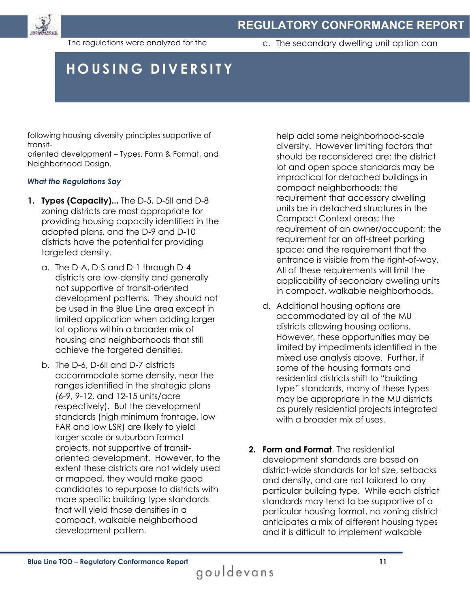

The regulations were analyzed for the

c. The secondary dwelling unit option can

## **HOUSING DIVERSITY**

following housing diversity principles supportive of transit-

oriented development – Types, Form & Format, and Neighborhood Design.

### *What the Regulations Say*

- **1. Types (Capacity)...** The D-5, D-5II and D-8 zoning districts are most appropriate for providing housing capacity identified in the adopted plans, and the D-9 and D-10 districts have the potential for providing targeted density.
	- a. The D-A, D-S and D-1 through D-4 districts are low-density and generally not supportive of transit-oriented development patterns. They should not be used in the Blue Line area except in limited application when adding larger lot options within a broader mix of housing and neighborhoods that still achieve the targeted densities.
	- b. The D-6, D-6II and D-7 districts accommodate some density, near the ranges identified in the strategic plans (6-9, 9-12, and 12-15 units/acre respectively). But the development standards (high minimum frontage, low FAR and low LSR) are likely to yield larger scale or suburban format projects, not supportive of transitoriented development. However, to the extent these districts are not widely used or mapped, they would make good candidates to repurpose to districts with more specific building type standards that will yield those densities in a compact, walkable neighborhood development pattern.

help add some neighborhood-scale diversity. However limiting factors that should be reconsidered are: the district lot and open space standards may be impractical for detached buildings in compact neighborhoods; the requirement that accessory dwelling units be in detached structures in the Compact Context areas; the requirement of an owner/occupant; the requirement for an off-street parking space; and the requirement that the entrance is visible from the right-of-way. All of these requirements will limit the applicability of secondary dwelling units in compact, walkable neighborhoods.

- d. Additional housing options are accommodated by all of the MU districts allowing housing options. However, these opportunities may be limited by impediments identified in the mixed use analysis above. Further, if some of the housing formats and residential districts shift to "building type" standards, many of these types may be appropriate in the MU districts as purely residential projects integrated with a broader mix of uses.
- **2. Form and Format**. The residential development standards are based on district-wide standards for lot size, setbacks and density, and are not tailored to any particular building type. While each district standards may tend to be supportive of a particular housing format, no zoning district anticipates a mix of different housing types and it is difficult to implement walkable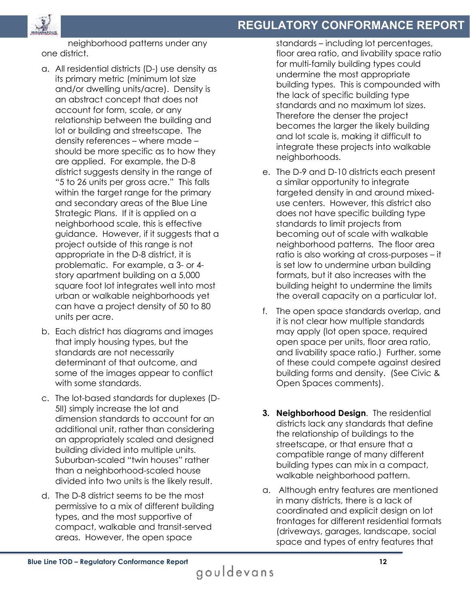

neighborhood patterns under any one district.

- a. All residential districts (D-) use density as its primary metric (minimum lot size and/or dwelling units/acre). Density is an abstract concept that does not account for form, scale, or any relationship between the building and lot or building and streetscape. The density references – where made – should be more specific as to how they are applied. For example, the D-8 district suggests density in the range of "5 to 26 units per gross acre." This falls within the target range for the primary and secondary areas of the Blue Line Strategic Plans. If it is applied on a neighborhood scale, this is effective guidance. However, if it suggests that a project outside of this range is not appropriate in the D-8 district, it is problematic. For example, a 3- or 4 story apartment building on a 5,000 square foot lot integrates well into most urban or walkable neighborhoods yet can have a project density of 50 to 80 units per acre.
- b. Each district has diagrams and images that imply housing types, but the standards are not necessarily determinant of that outcome, and some of the images appear to conflict with some standards.
- c. The lot-based standards for duplexes (D-5II) simply increase the lot and dimension standards to account for an additional unit, rather than considering an appropriately scaled and designed building divided into multiple units. Suburban-scaled "twin houses" rather than a neighborhood-scaled house divided into two units is the likely result.
- d. The D-8 district seems to be the most permissive to a mix of different building types, and the most supportive of compact, walkable and transit-served areas. However, the open space

standards – including lot percentages, floor area ratio, and livability space ratio for multi-family building types could undermine the most appropriate building types. This is compounded with the lack of specific building type standards and no maximum lot sizes. Therefore the denser the project becomes the larger the likely building and lot scale is, making it difficult to integrate these projects into walkable neighborhoods.

- e. The D-9 and D-10 districts each present a similar opportunity to integrate targeted density in and around mixeduse centers. However, this district also does not have specific building type standards to limit projects from becoming out of scale with walkable neighborhood patterns. The floor area ratio is also working at cross-purposes – it is set low to undermine urban building formats, but it also increases with the building height to undermine the limits the overall capacity on a particular lot.
- f. The open space standards overlap, and it is not clear how multiple standards may apply (lot open space, required open space per units, floor area ratio, and livability space ratio.) Further, some of these could compete against desired building forms and density. (See Civic & Open Spaces comments).
- **3. Neighborhood Design**. The residential districts lack any standards that define the relationship of buildings to the streetscape, or that ensure that a compatible range of many different building types can mix in a compact, walkable neighborhood pattern.
- a. Although entry features are mentioned in many districts, there is a lack of coordinated and explicit design on lot frontages for different residential formats (driveways, garages, landscape, social space and types of entry features that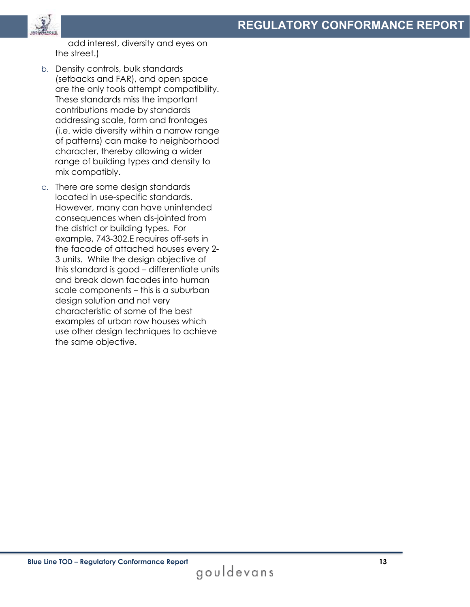

add interest, diversity and eyes on the street.)

- b. Density controls, bulk standards (setbacks and FAR), and open space are the only tools attempt compatibility. These standards miss the important contributions made by standards addressing scale, form and frontages (i.e. wide diversity within a narrow range of patterns) can make to neighborhood character, thereby allowing a wider range of building types and density to mix compatibly.
- c. There are some design standards located in use-specific standards. However, many can have unintended consequences when dis-jointed from the district or building types. For example, 743-302.E requires off-sets in the facade of attached houses every 2- 3 units. While the design objective of this standard is good – differentiate units and break down facades into human scale components – this is a suburban design solution and not very characteristic of some of the best examples of urban row houses which use other design techniques to achieve the same objective.